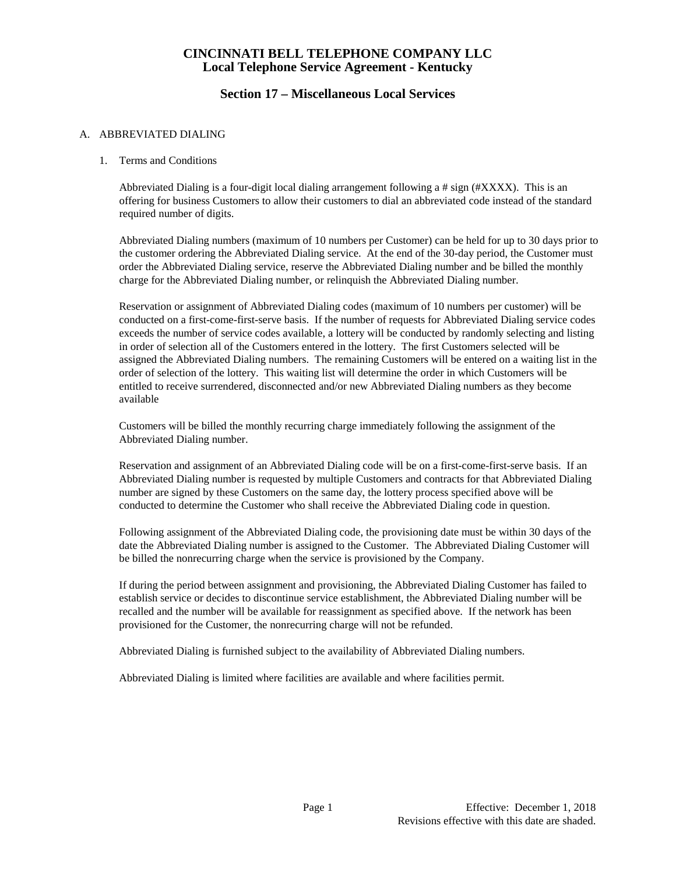## **Section 17 – Miscellaneous Local Services**

#### A. ABBREVIATED DIALING

#### 1. Terms and Conditions

Abbreviated Dialing is a four-digit local dialing arrangement following a # sign (#XXXX). This is an offering for business Customers to allow their customers to dial an abbreviated code instead of the standard required number of digits.

Abbreviated Dialing numbers (maximum of 10 numbers per Customer) can be held for up to 30 days prior to the customer ordering the Abbreviated Dialing service. At the end of the 30-day period, the Customer must order the Abbreviated Dialing service, reserve the Abbreviated Dialing number and be billed the monthly charge for the Abbreviated Dialing number, or relinquish the Abbreviated Dialing number.

Reservation or assignment of Abbreviated Dialing codes (maximum of 10 numbers per customer) will be conducted on a first-come-first-serve basis. If the number of requests for Abbreviated Dialing service codes exceeds the number of service codes available, a lottery will be conducted by randomly selecting and listing in order of selection all of the Customers entered in the lottery. The first Customers selected will be assigned the Abbreviated Dialing numbers. The remaining Customers will be entered on a waiting list in the order of selection of the lottery. This waiting list will determine the order in which Customers will be entitled to receive surrendered, disconnected and/or new Abbreviated Dialing numbers as they become available

Customers will be billed the monthly recurring charge immediately following the assignment of the Abbreviated Dialing number.

Reservation and assignment of an Abbreviated Dialing code will be on a first-come-first-serve basis. If an Abbreviated Dialing number is requested by multiple Customers and contracts for that Abbreviated Dialing number are signed by these Customers on the same day, the lottery process specified above will be conducted to determine the Customer who shall receive the Abbreviated Dialing code in question.

Following assignment of the Abbreviated Dialing code, the provisioning date must be within 30 days of the date the Abbreviated Dialing number is assigned to the Customer. The Abbreviated Dialing Customer will be billed the nonrecurring charge when the service is provisioned by the Company.

If during the period between assignment and provisioning, the Abbreviated Dialing Customer has failed to establish service or decides to discontinue service establishment, the Abbreviated Dialing number will be recalled and the number will be available for reassignment as specified above. If the network has been provisioned for the Customer, the nonrecurring charge will not be refunded.

Abbreviated Dialing is furnished subject to the availability of Abbreviated Dialing numbers.

Abbreviated Dialing is limited where facilities are available and where facilities permit.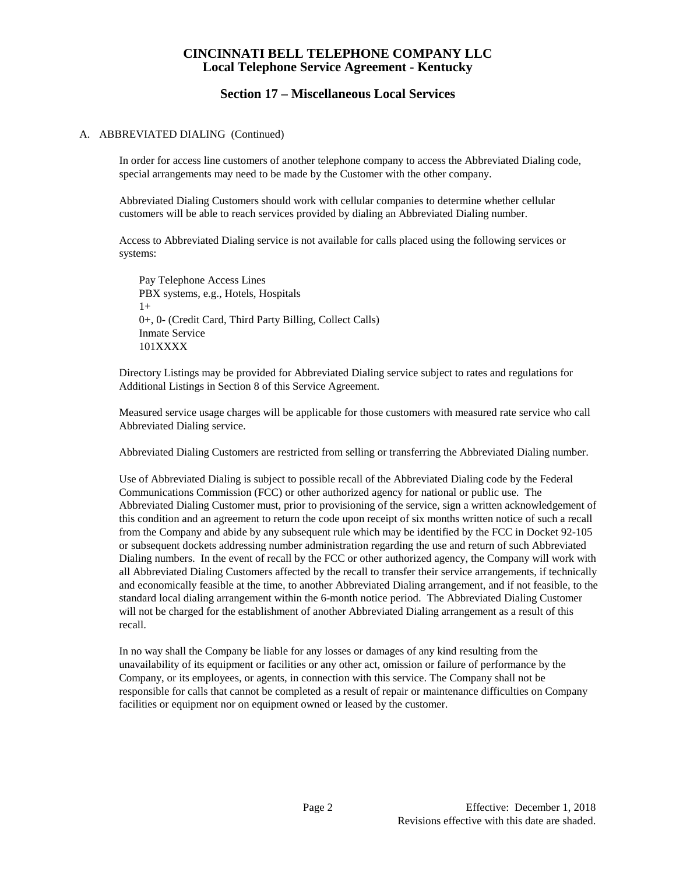#### **Section 17 – Miscellaneous Local Services**

#### A. ABBREVIATED DIALING (Continued)

In order for access line customers of another telephone company to access the Abbreviated Dialing code, special arrangements may need to be made by the Customer with the other company.

Abbreviated Dialing Customers should work with cellular companies to determine whether cellular customers will be able to reach services provided by dialing an Abbreviated Dialing number.

Access to Abbreviated Dialing service is not available for calls placed using the following services or systems:

Pay Telephone Access Lines PBX systems, e.g., Hotels, Hospitals  $1+$ 0+, 0- (Credit Card, Third Party Billing, Collect Calls) Inmate Service 101XXXX

Directory Listings may be provided for Abbreviated Dialing service subject to rates and regulations for Additional Listings in Section 8 of this Service Agreement.

Measured service usage charges will be applicable for those customers with measured rate service who call Abbreviated Dialing service.

Abbreviated Dialing Customers are restricted from selling or transferring the Abbreviated Dialing number.

Use of Abbreviated Dialing is subject to possible recall of the Abbreviated Dialing code by the Federal Communications Commission (FCC) or other authorized agency for national or public use. The Abbreviated Dialing Customer must, prior to provisioning of the service, sign a written acknowledgement of this condition and an agreement to return the code upon receipt of six months written notice of such a recall from the Company and abide by any subsequent rule which may be identified by the FCC in Docket 92-105 or subsequent dockets addressing number administration regarding the use and return of such Abbreviated Dialing numbers. In the event of recall by the FCC or other authorized agency, the Company will work with all Abbreviated Dialing Customers affected by the recall to transfer their service arrangements, if technically and economically feasible at the time, to another Abbreviated Dialing arrangement, and if not feasible, to the standard local dialing arrangement within the 6-month notice period. The Abbreviated Dialing Customer will not be charged for the establishment of another Abbreviated Dialing arrangement as a result of this recall.

In no way shall the Company be liable for any losses or damages of any kind resulting from the unavailability of its equipment or facilities or any other act, omission or failure of performance by the Company, or its employees, or agents, in connection with this service. The Company shall not be responsible for calls that cannot be completed as a result of repair or maintenance difficulties on Company facilities or equipment nor on equipment owned or leased by the customer.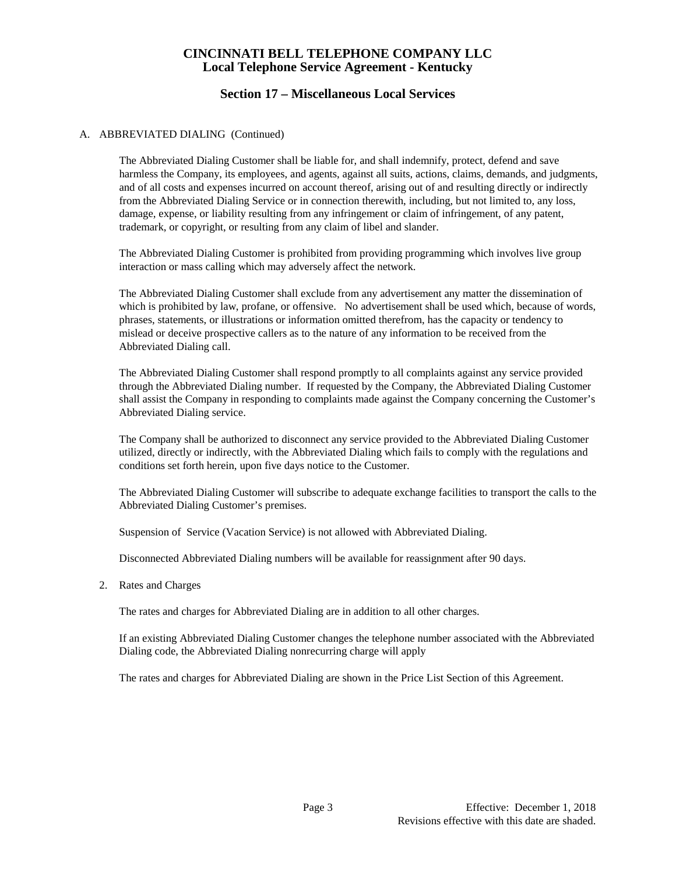# **Section 17 – Miscellaneous Local Services**

#### A. ABBREVIATED DIALING (Continued)

The Abbreviated Dialing Customer shall be liable for, and shall indemnify, protect, defend and save harmless the Company, its employees, and agents, against all suits, actions, claims, demands, and judgments, and of all costs and expenses incurred on account thereof, arising out of and resulting directly or indirectly from the Abbreviated Dialing Service or in connection therewith, including, but not limited to, any loss, damage, expense, or liability resulting from any infringement or claim of infringement, of any patent, trademark, or copyright, or resulting from any claim of libel and slander.

The Abbreviated Dialing Customer is prohibited from providing programming which involves live group interaction or mass calling which may adversely affect the network.

The Abbreviated Dialing Customer shall exclude from any advertisement any matter the dissemination of which is prohibited by law, profane, or offensive. No advertisement shall be used which, because of words, phrases, statements, or illustrations or information omitted therefrom, has the capacity or tendency to mislead or deceive prospective callers as to the nature of any information to be received from the Abbreviated Dialing call.

The Abbreviated Dialing Customer shall respond promptly to all complaints against any service provided through the Abbreviated Dialing number. If requested by the Company, the Abbreviated Dialing Customer shall assist the Company in responding to complaints made against the Company concerning the Customer's Abbreviated Dialing service.

The Company shall be authorized to disconnect any service provided to the Abbreviated Dialing Customer utilized, directly or indirectly, with the Abbreviated Dialing which fails to comply with the regulations and conditions set forth herein, upon five days notice to the Customer.

The Abbreviated Dialing Customer will subscribe to adequate exchange facilities to transport the calls to the Abbreviated Dialing Customer's premises.

Suspension of Service (Vacation Service) is not allowed with Abbreviated Dialing.

Disconnected Abbreviated Dialing numbers will be available for reassignment after 90 days.

2. Rates and Charges

The rates and charges for Abbreviated Dialing are in addition to all other charges.

If an existing Abbreviated Dialing Customer changes the telephone number associated with the Abbreviated Dialing code, the Abbreviated Dialing nonrecurring charge will apply

The rates and charges for Abbreviated Dialing are shown in the Price List Section of this Agreement.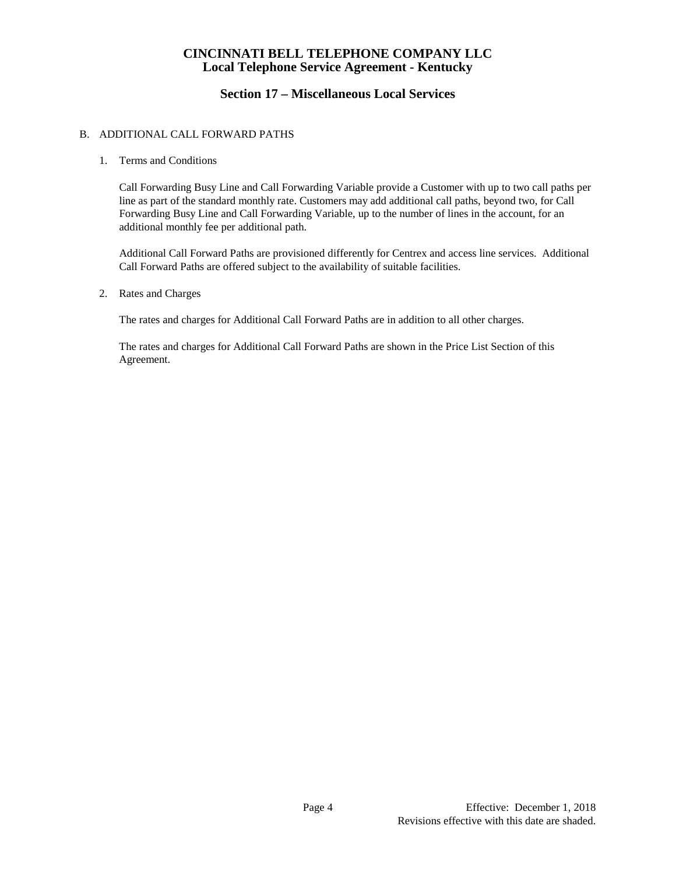# **Section 17 – Miscellaneous Local Services**

#### B. ADDITIONAL CALL FORWARD PATHS

#### 1. Terms and Conditions

Call Forwarding Busy Line and Call Forwarding Variable provide a Customer with up to two call paths per line as part of the standard monthly rate. Customers may add additional call paths, beyond two, for Call Forwarding Busy Line and Call Forwarding Variable, up to the number of lines in the account, for an additional monthly fee per additional path.

Additional Call Forward Paths are provisioned differently for Centrex and access line services. Additional Call Forward Paths are offered subject to the availability of suitable facilities.

2. Rates and Charges

The rates and charges for Additional Call Forward Paths are in addition to all other charges.

The rates and charges for Additional Call Forward Paths are shown in the Price List Section of this Agreement.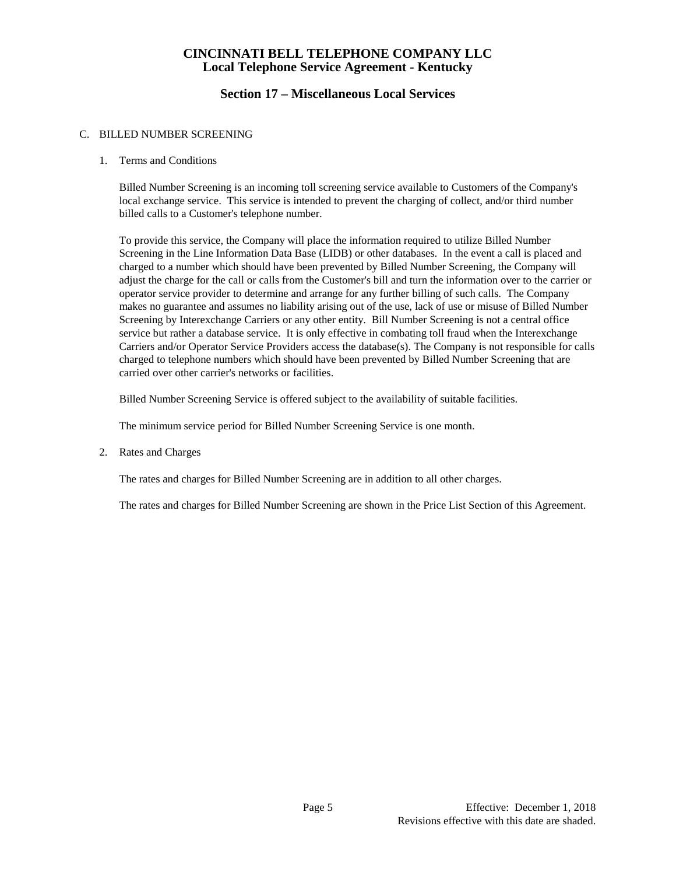# **Section 17 – Miscellaneous Local Services**

#### C. BILLED NUMBER SCREENING

1. Terms and Conditions

Billed Number Screening is an incoming toll screening service available to Customers of the Company's local exchange service. This service is intended to prevent the charging of collect, and/or third number billed calls to a Customer's telephone number.

To provide this service, the Company will place the information required to utilize Billed Number Screening in the Line Information Data Base (LIDB) or other databases. In the event a call is placed and charged to a number which should have been prevented by Billed Number Screening, the Company will adjust the charge for the call or calls from the Customer's bill and turn the information over to the carrier or operator service provider to determine and arrange for any further billing of such calls. The Company makes no guarantee and assumes no liability arising out of the use, lack of use or misuse of Billed Number Screening by Interexchange Carriers or any other entity. Bill Number Screening is not a central office service but rather a database service. It is only effective in combating toll fraud when the Interexchange Carriers and/or Operator Service Providers access the database(s). The Company is not responsible for calls charged to telephone numbers which should have been prevented by Billed Number Screening that are carried over other carrier's networks or facilities.

Billed Number Screening Service is offered subject to the availability of suitable facilities.

The minimum service period for Billed Number Screening Service is one month.

2. Rates and Charges

The rates and charges for Billed Number Screening are in addition to all other charges.

The rates and charges for Billed Number Screening are shown in the Price List Section of this Agreement.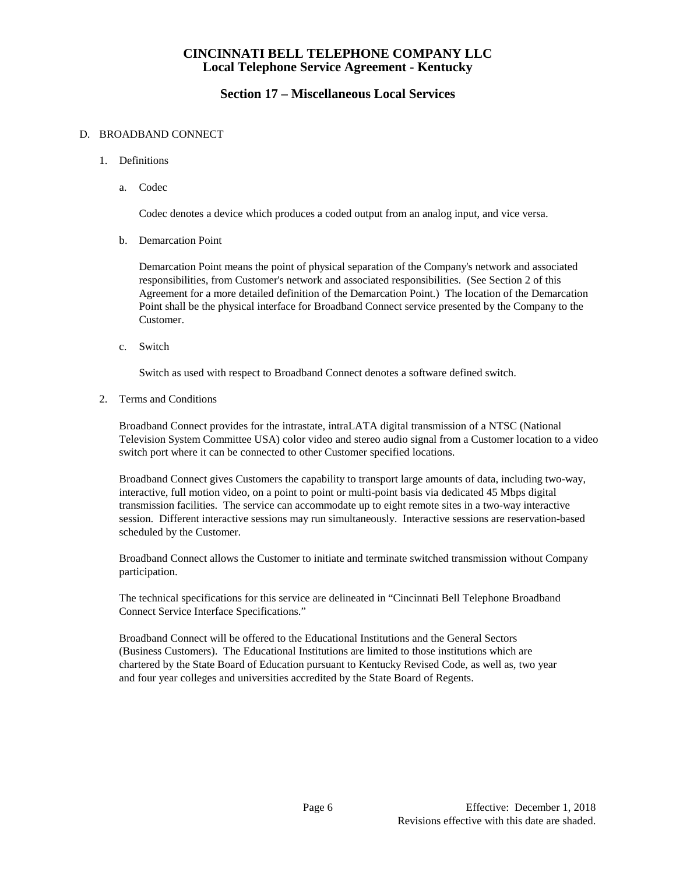## **Section 17 – Miscellaneous Local Services**

#### D. BROADBAND CONNECT

- 1. Definitions
	- a. Codec

Codec denotes a device which produces a coded output from an analog input, and vice versa.

b. Demarcation Point

Demarcation Point means the point of physical separation of the Company's network and associated responsibilities, from Customer's network and associated responsibilities. (See Section 2 of this Agreement for a more detailed definition of the Demarcation Point.) The location of the Demarcation Point shall be the physical interface for Broadband Connect service presented by the Company to the Customer.

c. Switch

Switch as used with respect to Broadband Connect denotes a software defined switch.

2. Terms and Conditions

Broadband Connect provides for the intrastate, intraLATA digital transmission of a NTSC (National Television System Committee USA) color video and stereo audio signal from a Customer location to a video switch port where it can be connected to other Customer specified locations.

Broadband Connect gives Customers the capability to transport large amounts of data, including two-way, interactive, full motion video, on a point to point or multi-point basis via dedicated 45 Mbps digital transmission facilities. The service can accommodate up to eight remote sites in a two-way interactive session. Different interactive sessions may run simultaneously. Interactive sessions are reservation-based scheduled by the Customer.

Broadband Connect allows the Customer to initiate and terminate switched transmission without Company participation.

The technical specifications for this service are delineated in "Cincinnati Bell Telephone Broadband Connect Service Interface Specifications."

Broadband Connect will be offered to the Educational Institutions and the General Sectors (Business Customers). The Educational Institutions are limited to those institutions which are chartered by the State Board of Education pursuant to Kentucky Revised Code, as well as, two year and four year colleges and universities accredited by the State Board of Regents.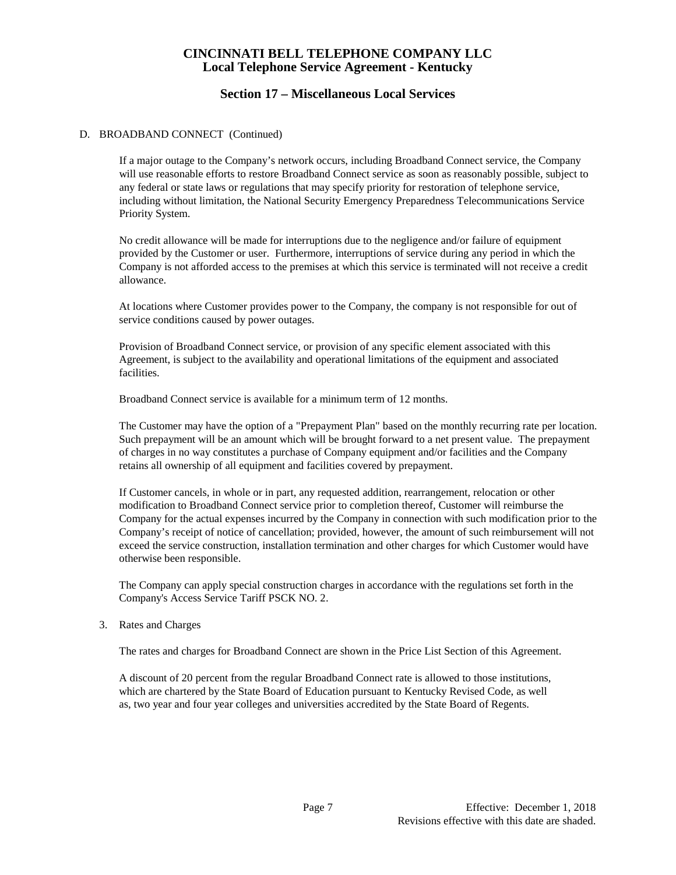# **Section 17 – Miscellaneous Local Services**

#### D. BROADBAND CONNECT (Continued)

If a major outage to the Company's network occurs, including Broadband Connect service, the Company will use reasonable efforts to restore Broadband Connect service as soon as reasonably possible, subject to any federal or state laws or regulations that may specify priority for restoration of telephone service, including without limitation, the National Security Emergency Preparedness Telecommunications Service Priority System.

No credit allowance will be made for interruptions due to the negligence and/or failure of equipment provided by the Customer or user. Furthermore, interruptions of service during any period in which the Company is not afforded access to the premises at which this service is terminated will not receive a credit allowance.

At locations where Customer provides power to the Company, the company is not responsible for out of service conditions caused by power outages.

Provision of Broadband Connect service, or provision of any specific element associated with this Agreement, is subject to the availability and operational limitations of the equipment and associated facilities.

Broadband Connect service is available for a minimum term of 12 months.

The Customer may have the option of a "Prepayment Plan" based on the monthly recurring rate per location. Such prepayment will be an amount which will be brought forward to a net present value. The prepayment of charges in no way constitutes a purchase of Company equipment and/or facilities and the Company retains all ownership of all equipment and facilities covered by prepayment.

If Customer cancels, in whole or in part, any requested addition, rearrangement, relocation or other modification to Broadband Connect service prior to completion thereof, Customer will reimburse the Company for the actual expenses incurred by the Company in connection with such modification prior to the Company's receipt of notice of cancellation; provided, however, the amount of such reimbursement will not exceed the service construction, installation termination and other charges for which Customer would have otherwise been responsible.

The Company can apply special construction charges in accordance with the regulations set forth in the Company's Access Service Tariff PSCK NO. 2.

3. Rates and Charges

The rates and charges for Broadband Connect are shown in the Price List Section of this Agreement.

A discount of 20 percent from the regular Broadband Connect rate is allowed to those institutions, which are chartered by the State Board of Education pursuant to Kentucky Revised Code, as well as, two year and four year colleges and universities accredited by the State Board of Regents.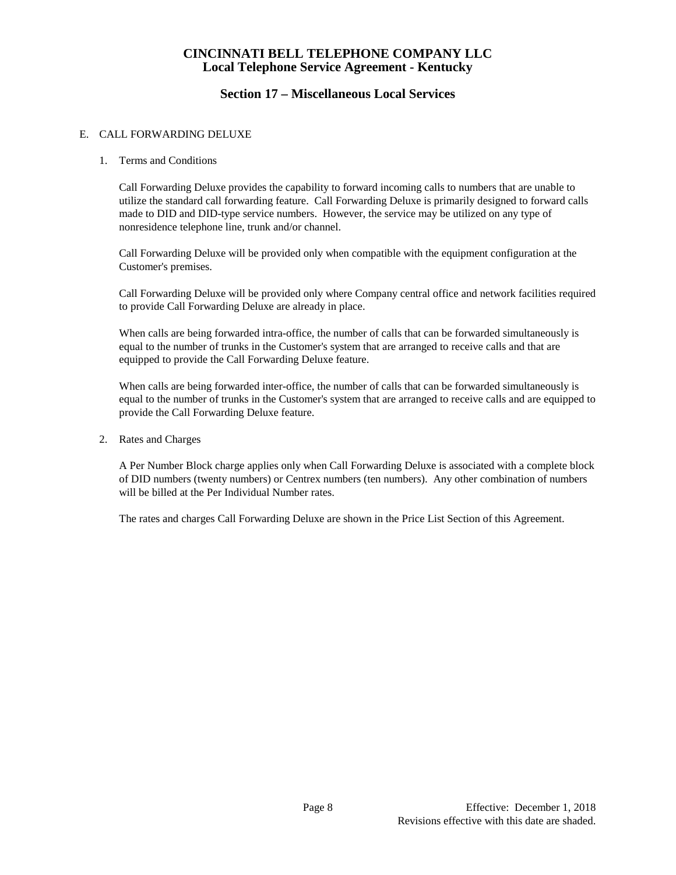# **Section 17 – Miscellaneous Local Services**

#### E. CALL FORWARDING DELUXE

#### 1. Terms and Conditions

Call Forwarding Deluxe provides the capability to forward incoming calls to numbers that are unable to utilize the standard call forwarding feature. Call Forwarding Deluxe is primarily designed to forward calls made to DID and DID-type service numbers. However, the service may be utilized on any type of nonresidence telephone line, trunk and/or channel.

Call Forwarding Deluxe will be provided only when compatible with the equipment configuration at the Customer's premises.

Call Forwarding Deluxe will be provided only where Company central office and network facilities required to provide Call Forwarding Deluxe are already in place.

When calls are being forwarded intra-office, the number of calls that can be forwarded simultaneously is equal to the number of trunks in the Customer's system that are arranged to receive calls and that are equipped to provide the Call Forwarding Deluxe feature.

When calls are being forwarded inter-office, the number of calls that can be forwarded simultaneously is equal to the number of trunks in the Customer's system that are arranged to receive calls and are equipped to provide the Call Forwarding Deluxe feature.

2. Rates and Charges

A Per Number Block charge applies only when Call Forwarding Deluxe is associated with a complete block of DID numbers (twenty numbers) or Centrex numbers (ten numbers). Any other combination of numbers will be billed at the Per Individual Number rates.

The rates and charges Call Forwarding Deluxe are shown in the Price List Section of this Agreement.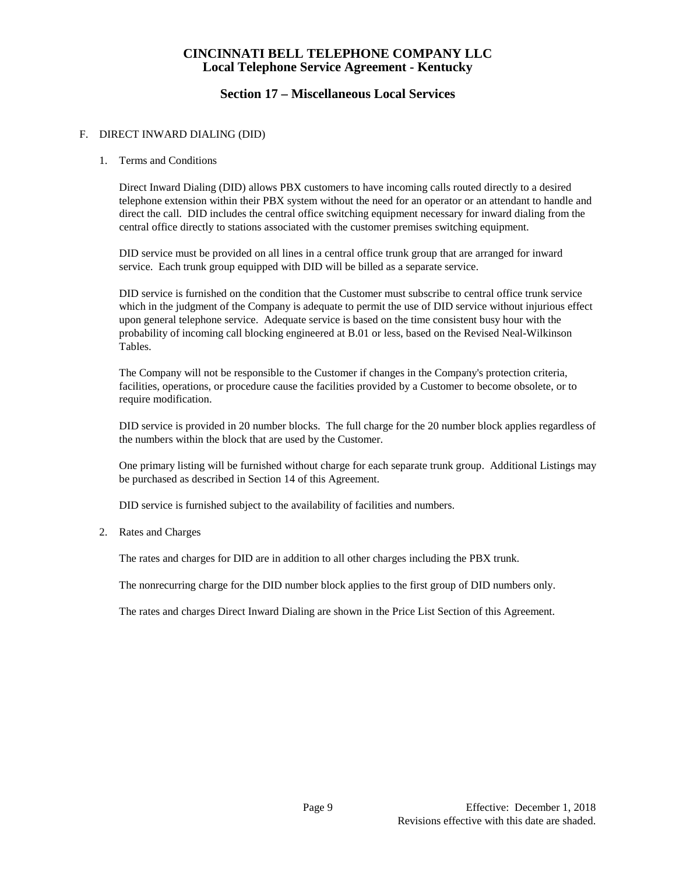# **Section 17 – Miscellaneous Local Services**

#### F. DIRECT INWARD DIALING (DID)

#### 1. Terms and Conditions

Direct Inward Dialing (DID) allows PBX customers to have incoming calls routed directly to a desired telephone extension within their PBX system without the need for an operator or an attendant to handle and direct the call. DID includes the central office switching equipment necessary for inward dialing from the central office directly to stations associated with the customer premises switching equipment.

DID service must be provided on all lines in a central office trunk group that are arranged for inward service. Each trunk group equipped with DID will be billed as a separate service.

DID service is furnished on the condition that the Customer must subscribe to central office trunk service which in the judgment of the Company is adequate to permit the use of DID service without injurious effect upon general telephone service. Adequate service is based on the time consistent busy hour with the probability of incoming call blocking engineered at B.01 or less, based on the Revised Neal-Wilkinson Tables.

The Company will not be responsible to the Customer if changes in the Company's protection criteria, facilities, operations, or procedure cause the facilities provided by a Customer to become obsolete, or to require modification.

DID service is provided in 20 number blocks. The full charge for the 20 number block applies regardless of the numbers within the block that are used by the Customer.

One primary listing will be furnished without charge for each separate trunk group. Additional Listings may be purchased as described in Section 14 of this Agreement.

DID service is furnished subject to the availability of facilities and numbers.

#### 2. Rates and Charges

The rates and charges for DID are in addition to all other charges including the PBX trunk.

The nonrecurring charge for the DID number block applies to the first group of DID numbers only.

The rates and charges Direct Inward Dialing are shown in the Price List Section of this Agreement.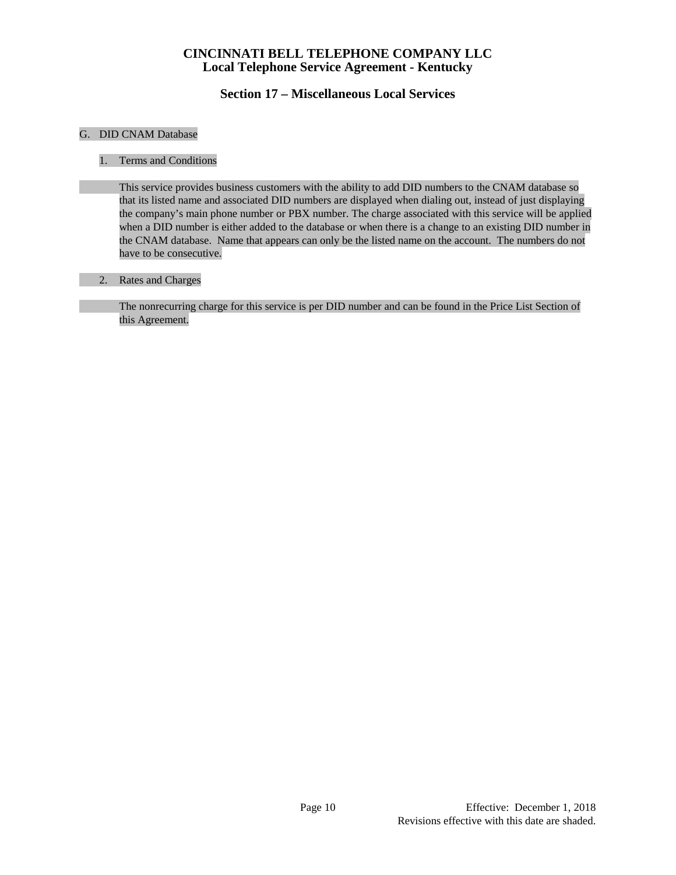# **Section 17 – Miscellaneous Local Services**

#### G. DID CNAM Database

#### 1. Terms and Conditions

This service provides business customers with the ability to add DID numbers to the CNAM database so that its listed name and associated DID numbers are displayed when dialing out, instead of just displaying the company's main phone number or PBX number. The charge associated with this service will be applied when a DID number is either added to the database or when there is a change to an existing DID number in the CNAM database. Name that appears can only be the listed name on the account. The numbers do not have to be consecutive.

#### 2. Rates and Charges

The nonrecurring charge for this service is per DID number and can be found in the Price List Section of this Agreement.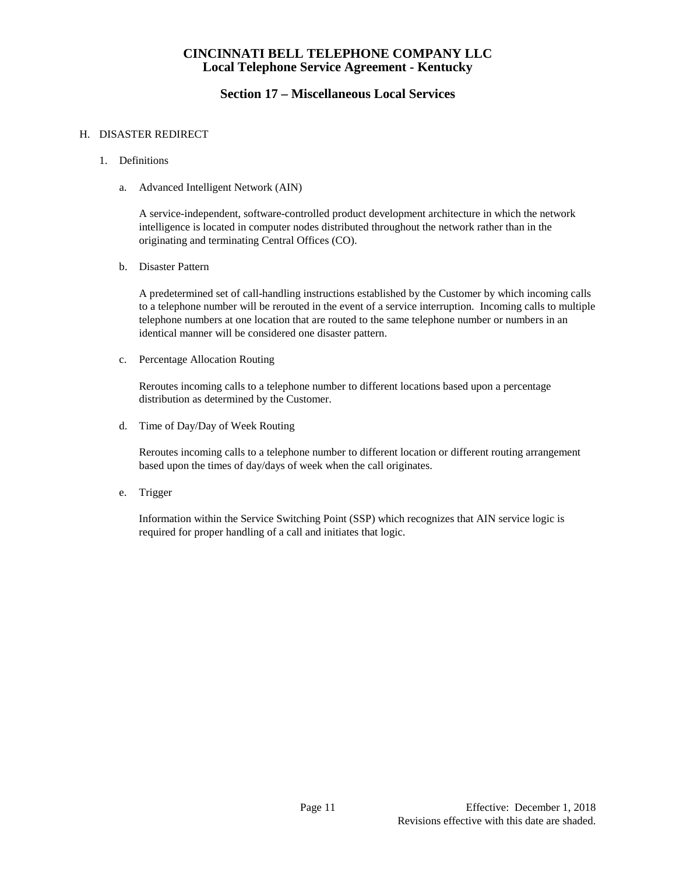# **Section 17 – Miscellaneous Local Services**

#### H. DISASTER REDIRECT

- 1. Definitions
	- a. Advanced Intelligent Network (AIN)

A service-independent, software-controlled product development architecture in which the network intelligence is located in computer nodes distributed throughout the network rather than in the originating and terminating Central Offices (CO).

b. Disaster Pattern

A predetermined set of call-handling instructions established by the Customer by which incoming calls to a telephone number will be rerouted in the event of a service interruption. Incoming calls to multiple telephone numbers at one location that are routed to the same telephone number or numbers in an identical manner will be considered one disaster pattern.

c. Percentage Allocation Routing

Reroutes incoming calls to a telephone number to different locations based upon a percentage distribution as determined by the Customer.

d. Time of Day/Day of Week Routing

Reroutes incoming calls to a telephone number to different location or different routing arrangement based upon the times of day/days of week when the call originates.

e. Trigger

Information within the Service Switching Point (SSP) which recognizes that AIN service logic is required for proper handling of a call and initiates that logic.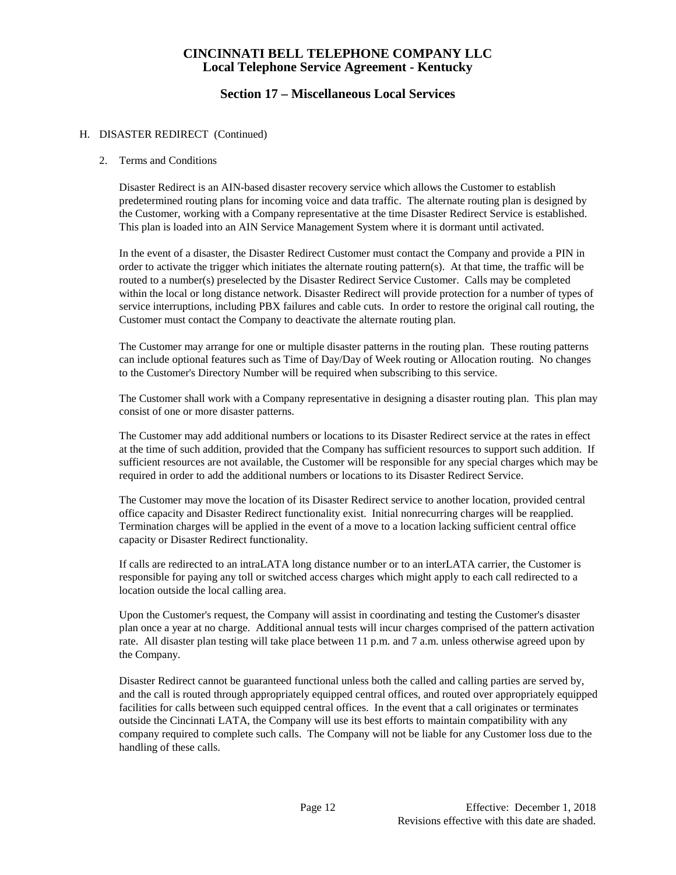## **Section 17 – Miscellaneous Local Services**

#### H. DISASTER REDIRECT (Continued)

#### 2. Terms and Conditions

Disaster Redirect is an AIN-based disaster recovery service which allows the Customer to establish predetermined routing plans for incoming voice and data traffic. The alternate routing plan is designed by the Customer, working with a Company representative at the time Disaster Redirect Service is established. This plan is loaded into an AIN Service Management System where it is dormant until activated.

In the event of a disaster, the Disaster Redirect Customer must contact the Company and provide a PIN in order to activate the trigger which initiates the alternate routing pattern(s). At that time, the traffic will be routed to a number(s) preselected by the Disaster Redirect Service Customer. Calls may be completed within the local or long distance network. Disaster Redirect will provide protection for a number of types of service interruptions, including PBX failures and cable cuts. In order to restore the original call routing, the Customer must contact the Company to deactivate the alternate routing plan.

The Customer may arrange for one or multiple disaster patterns in the routing plan. These routing patterns can include optional features such as Time of Day/Day of Week routing or Allocation routing. No changes to the Customer's Directory Number will be required when subscribing to this service.

The Customer shall work with a Company representative in designing a disaster routing plan. This plan may consist of one or more disaster patterns.

The Customer may add additional numbers or locations to its Disaster Redirect service at the rates in effect at the time of such addition, provided that the Company has sufficient resources to support such addition. If sufficient resources are not available, the Customer will be responsible for any special charges which may be required in order to add the additional numbers or locations to its Disaster Redirect Service.

The Customer may move the location of its Disaster Redirect service to another location, provided central office capacity and Disaster Redirect functionality exist. Initial nonrecurring charges will be reapplied. Termination charges will be applied in the event of a move to a location lacking sufficient central office capacity or Disaster Redirect functionality.

If calls are redirected to an intraLATA long distance number or to an interLATA carrier, the Customer is responsible for paying any toll or switched access charges which might apply to each call redirected to a location outside the local calling area.

Upon the Customer's request, the Company will assist in coordinating and testing the Customer's disaster plan once a year at no charge. Additional annual tests will incur charges comprised of the pattern activation rate. All disaster plan testing will take place between 11 p.m. and 7 a.m. unless otherwise agreed upon by the Company.

Disaster Redirect cannot be guaranteed functional unless both the called and calling parties are served by, and the call is routed through appropriately equipped central offices, and routed over appropriately equipped facilities for calls between such equipped central offices. In the event that a call originates or terminates outside the Cincinnati LATA, the Company will use its best efforts to maintain compatibility with any company required to complete such calls. The Company will not be liable for any Customer loss due to the handling of these calls.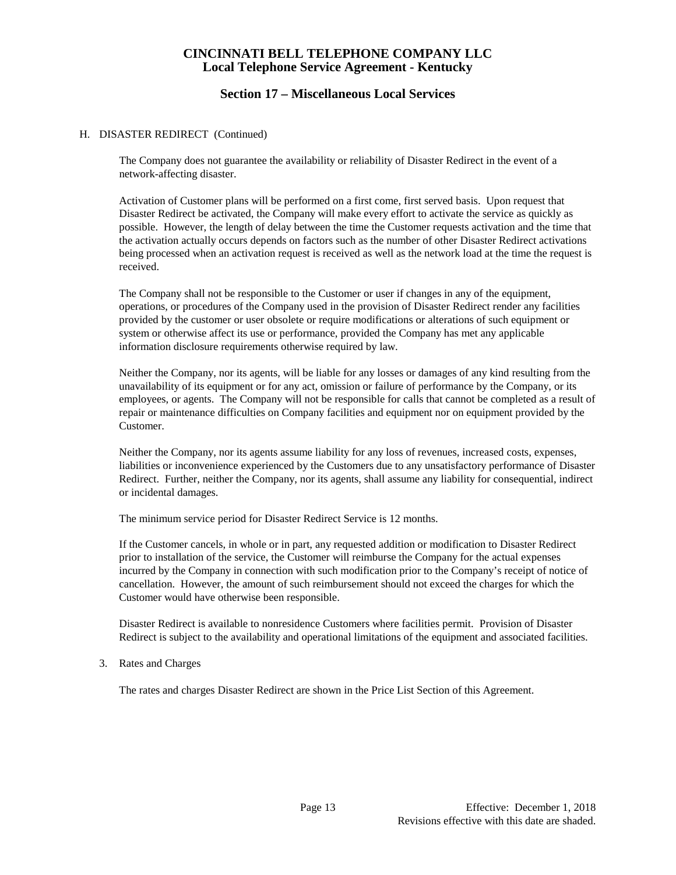### **Section 17 – Miscellaneous Local Services**

#### H. DISASTER REDIRECT (Continued)

The Company does not guarantee the availability or reliability of Disaster Redirect in the event of a network-affecting disaster.

Activation of Customer plans will be performed on a first come, first served basis. Upon request that Disaster Redirect be activated, the Company will make every effort to activate the service as quickly as possible. However, the length of delay between the time the Customer requests activation and the time that the activation actually occurs depends on factors such as the number of other Disaster Redirect activations being processed when an activation request is received as well as the network load at the time the request is received.

The Company shall not be responsible to the Customer or user if changes in any of the equipment, operations, or procedures of the Company used in the provision of Disaster Redirect render any facilities provided by the customer or user obsolete or require modifications or alterations of such equipment or system or otherwise affect its use or performance, provided the Company has met any applicable information disclosure requirements otherwise required by law.

Neither the Company, nor its agents, will be liable for any losses or damages of any kind resulting from the unavailability of its equipment or for any act, omission or failure of performance by the Company, or its employees, or agents. The Company will not be responsible for calls that cannot be completed as a result of repair or maintenance difficulties on Company facilities and equipment nor on equipment provided by the Customer.

Neither the Company, nor its agents assume liability for any loss of revenues, increased costs, expenses, liabilities or inconvenience experienced by the Customers due to any unsatisfactory performance of Disaster Redirect. Further, neither the Company, nor its agents, shall assume any liability for consequential, indirect or incidental damages.

The minimum service period for Disaster Redirect Service is 12 months.

If the Customer cancels, in whole or in part, any requested addition or modification to Disaster Redirect prior to installation of the service, the Customer will reimburse the Company for the actual expenses incurred by the Company in connection with such modification prior to the Company's receipt of notice of cancellation. However, the amount of such reimbursement should not exceed the charges for which the Customer would have otherwise been responsible.

Disaster Redirect is available to nonresidence Customers where facilities permit. Provision of Disaster Redirect is subject to the availability and operational limitations of the equipment and associated facilities.

3. Rates and Charges

The rates and charges Disaster Redirect are shown in the Price List Section of this Agreement.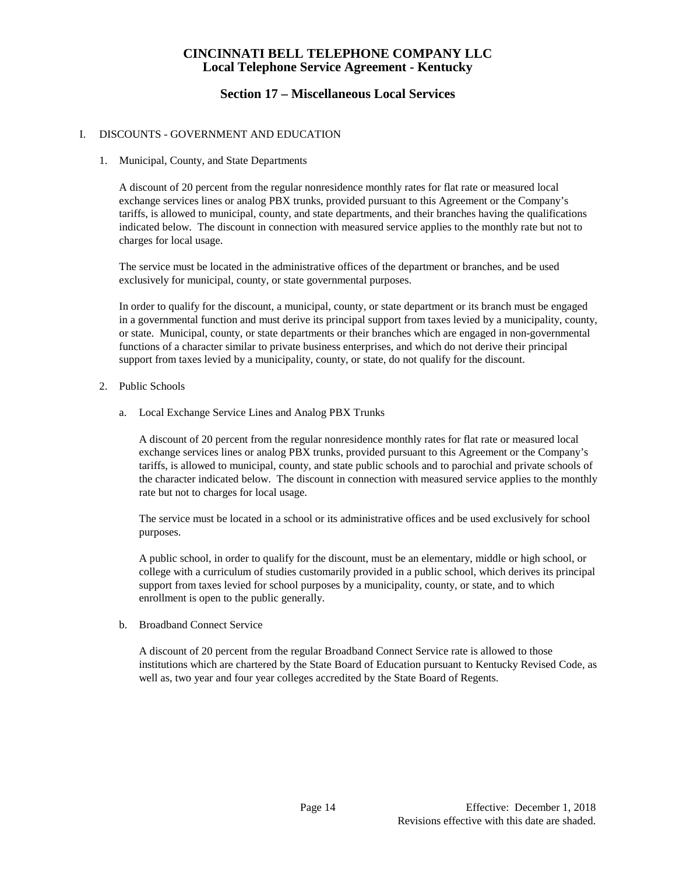# **Section 17 – Miscellaneous Local Services**

#### I. DISCOUNTS - GOVERNMENT AND EDUCATION

1. Municipal, County, and State Departments

A discount of 20 percent from the regular nonresidence monthly rates for flat rate or measured local exchange services lines or analog PBX trunks, provided pursuant to this Agreement or the Company's tariffs, is allowed to municipal, county, and state departments, and their branches having the qualifications indicated below. The discount in connection with measured service applies to the monthly rate but not to charges for local usage.

The service must be located in the administrative offices of the department or branches, and be used exclusively for municipal, county, or state governmental purposes.

In order to qualify for the discount, a municipal, county, or state department or its branch must be engaged in a governmental function and must derive its principal support from taxes levied by a municipality, county, or state. Municipal, county, or state departments or their branches which are engaged in non-governmental functions of a character similar to private business enterprises, and which do not derive their principal support from taxes levied by a municipality, county, or state, do not qualify for the discount.

- 2. Public Schools
	- a. Local Exchange Service Lines and Analog PBX Trunks

A discount of 20 percent from the regular nonresidence monthly rates for flat rate or measured local exchange services lines or analog PBX trunks, provided pursuant to this Agreement or the Company's tariffs, is allowed to municipal, county, and state public schools and to parochial and private schools of the character indicated below. The discount in connection with measured service applies to the monthly rate but not to charges for local usage.

The service must be located in a school or its administrative offices and be used exclusively for school purposes.

A public school, in order to qualify for the discount, must be an elementary, middle or high school, or college with a curriculum of studies customarily provided in a public school, which derives its principal support from taxes levied for school purposes by a municipality, county, or state, and to which enrollment is open to the public generally.

b. Broadband Connect Service

A discount of 20 percent from the regular Broadband Connect Service rate is allowed to those institutions which are chartered by the State Board of Education pursuant to Kentucky Revised Code, as well as, two year and four year colleges accredited by the State Board of Regents.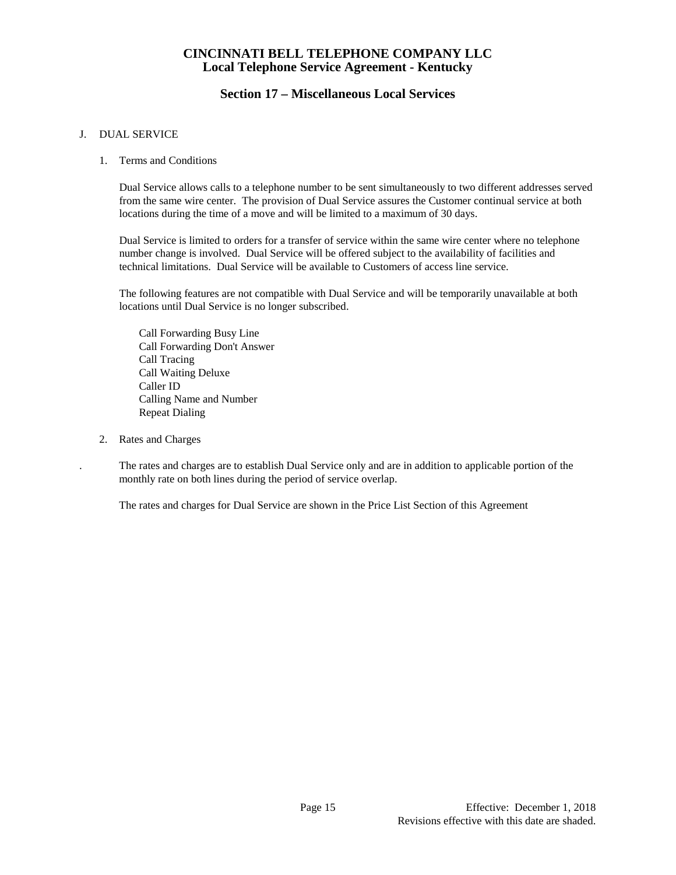# **Section 17 – Miscellaneous Local Services**

#### J. DUAL SERVICE

1. Terms and Conditions

Dual Service allows calls to a telephone number to be sent simultaneously to two different addresses served from the same wire center. The provision of Dual Service assures the Customer continual service at both locations during the time of a move and will be limited to a maximum of 30 days.

Dual Service is limited to orders for a transfer of service within the same wire center where no telephone number change is involved. Dual Service will be offered subject to the availability of facilities and technical limitations. Dual Service will be available to Customers of access line service.

The following features are not compatible with Dual Service and will be temporarily unavailable at both locations until Dual Service is no longer subscribed.

Call Forwarding Busy Line Call Forwarding Don't Answer Call Tracing Call Waiting Deluxe Caller ID Calling Name and Number Repeat Dialing

2. Rates and Charges

. The rates and charges are to establish Dual Service only and are in addition to applicable portion of the monthly rate on both lines during the period of service overlap.

The rates and charges for Dual Service are shown in the Price List Section of this Agreement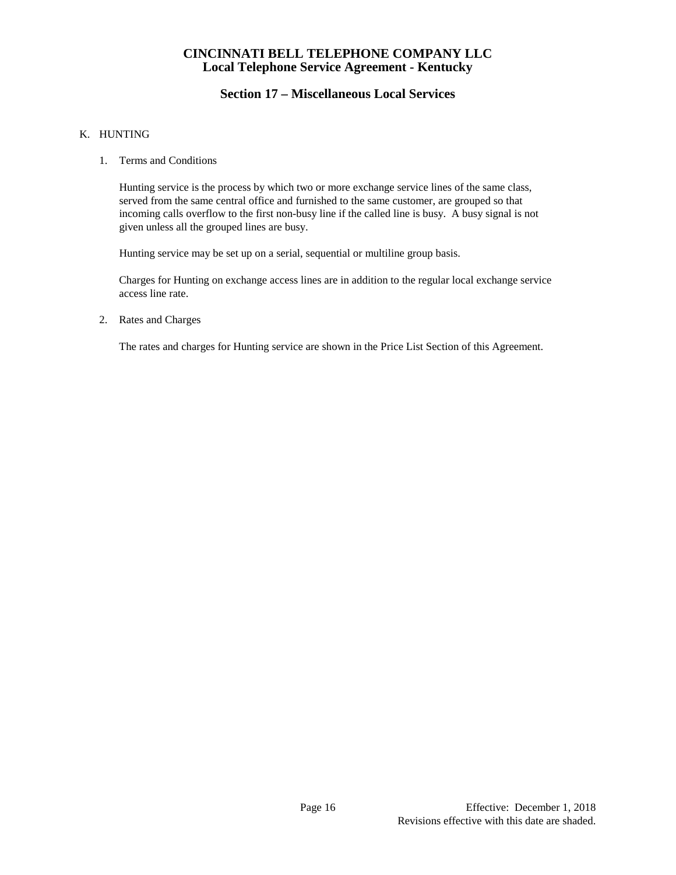# **Section 17 – Miscellaneous Local Services**

#### K. HUNTING

1. Terms and Conditions

Hunting service is the process by which two or more exchange service lines of the same class, served from the same central office and furnished to the same customer, are grouped so that incoming calls overflow to the first non-busy line if the called line is busy. A busy signal is not given unless all the grouped lines are busy.

Hunting service may be set up on a serial, sequential or multiline group basis.

Charges for Hunting on exchange access lines are in addition to the regular local exchange service access line rate.

2. Rates and Charges

The rates and charges for Hunting service are shown in the Price List Section of this Agreement.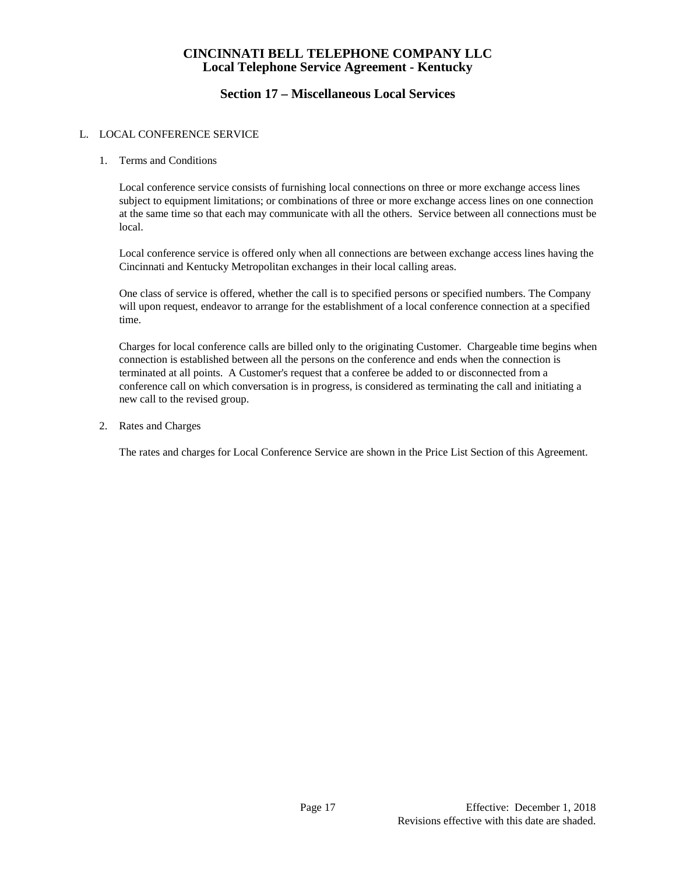# **Section 17 – Miscellaneous Local Services**

#### L. LOCAL CONFERENCE SERVICE

#### 1. Terms and Conditions

Local conference service consists of furnishing local connections on three or more exchange access lines subject to equipment limitations; or combinations of three or more exchange access lines on one connection at the same time so that each may communicate with all the others. Service between all connections must be local.

Local conference service is offered only when all connections are between exchange access lines having the Cincinnati and Kentucky Metropolitan exchanges in their local calling areas.

One class of service is offered, whether the call is to specified persons or specified numbers. The Company will upon request, endeavor to arrange for the establishment of a local conference connection at a specified time.

Charges for local conference calls are billed only to the originating Customer. Chargeable time begins when connection is established between all the persons on the conference and ends when the connection is terminated at all points. A Customer's request that a conferee be added to or disconnected from a conference call on which conversation is in progress, is considered as terminating the call and initiating a new call to the revised group.

2. Rates and Charges

The rates and charges for Local Conference Service are shown in the Price List Section of this Agreement.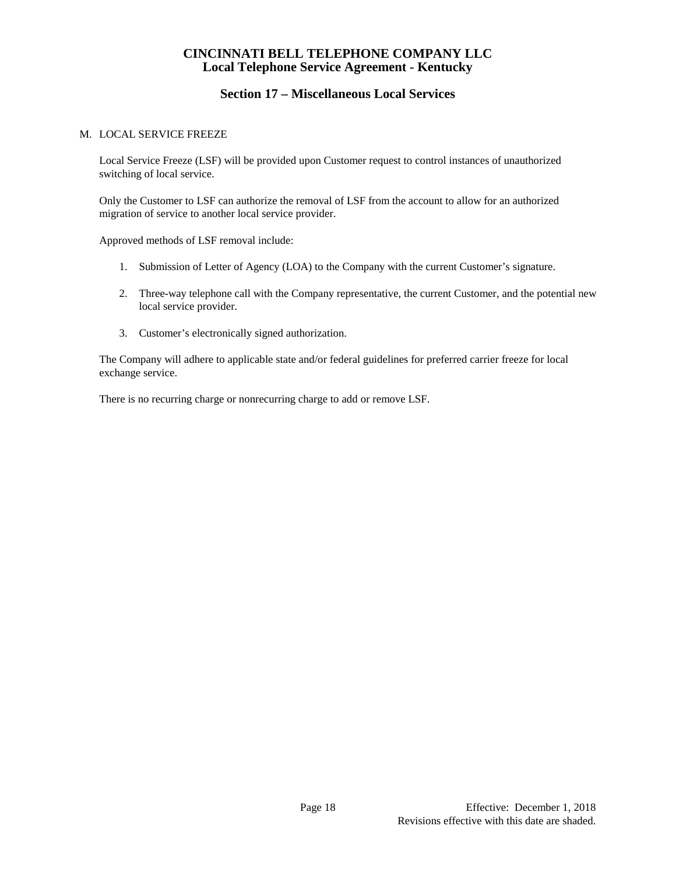# **Section 17 – Miscellaneous Local Services**

#### M. LOCAL SERVICE FREEZE

Local Service Freeze (LSF) will be provided upon Customer request to control instances of unauthorized switching of local service.

Only the Customer to LSF can authorize the removal of LSF from the account to allow for an authorized migration of service to another local service provider.

Approved methods of LSF removal include:

- 1. Submission of Letter of Agency (LOA) to the Company with the current Customer's signature.
- 2. Three-way telephone call with the Company representative, the current Customer, and the potential new local service provider.
- 3. Customer's electronically signed authorization.

The Company will adhere to applicable state and/or federal guidelines for preferred carrier freeze for local exchange service.

There is no recurring charge or nonrecurring charge to add or remove LSF.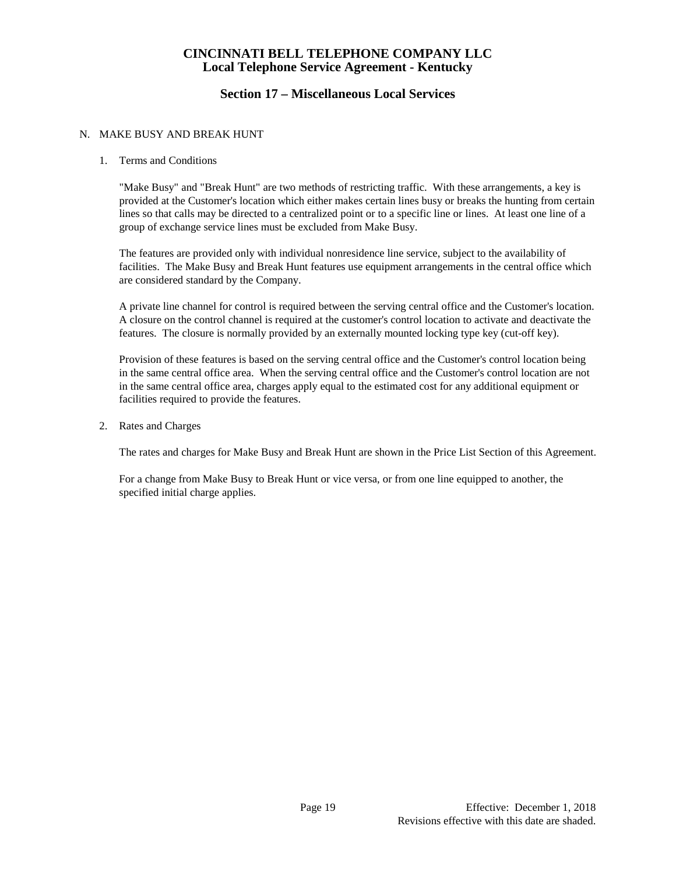# **Section 17 – Miscellaneous Local Services**

#### N. MAKE BUSY AND BREAK HUNT

#### 1. Terms and Conditions

"Make Busy" and "Break Hunt" are two methods of restricting traffic. With these arrangements, a key is provided at the Customer's location which either makes certain lines busy or breaks the hunting from certain lines so that calls may be directed to a centralized point or to a specific line or lines. At least one line of a group of exchange service lines must be excluded from Make Busy.

The features are provided only with individual nonresidence line service, subject to the availability of facilities. The Make Busy and Break Hunt features use equipment arrangements in the central office which are considered standard by the Company.

A private line channel for control is required between the serving central office and the Customer's location. A closure on the control channel is required at the customer's control location to activate and deactivate the features. The closure is normally provided by an externally mounted locking type key (cut-off key).

Provision of these features is based on the serving central office and the Customer's control location being in the same central office area. When the serving central office and the Customer's control location are not in the same central office area, charges apply equal to the estimated cost for any additional equipment or facilities required to provide the features.

2. Rates and Charges

The rates and charges for Make Busy and Break Hunt are shown in the Price List Section of this Agreement.

For a change from Make Busy to Break Hunt or vice versa, or from one line equipped to another, the specified initial charge applies.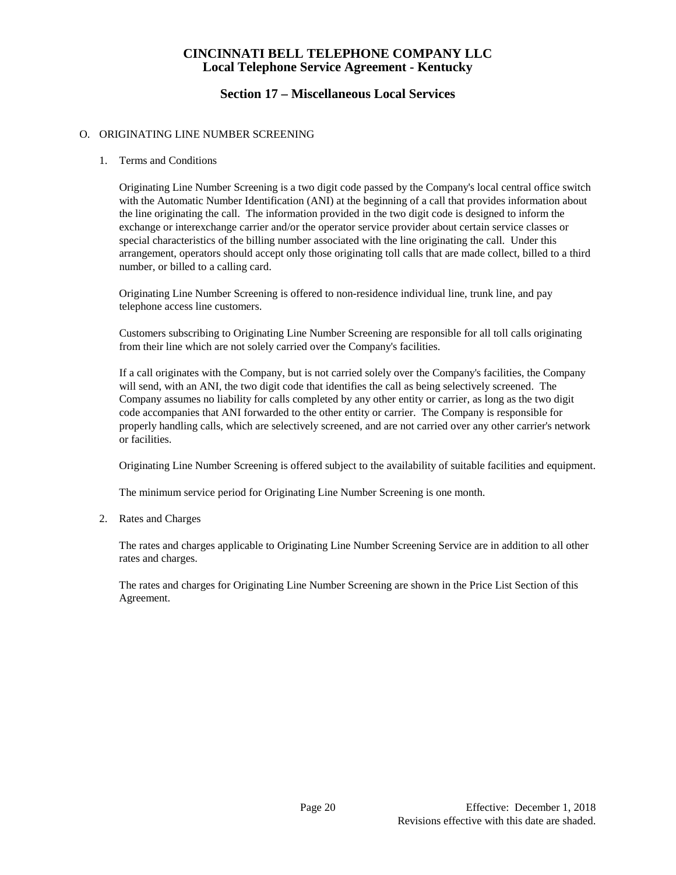# **Section 17 – Miscellaneous Local Services**

#### O. ORIGINATING LINE NUMBER SCREENING

#### 1. Terms and Conditions

Originating Line Number Screening is a two digit code passed by the Company's local central office switch with the Automatic Number Identification (ANI) at the beginning of a call that provides information about the line originating the call. The information provided in the two digit code is designed to inform the exchange or interexchange carrier and/or the operator service provider about certain service classes or special characteristics of the billing number associated with the line originating the call. Under this arrangement, operators should accept only those originating toll calls that are made collect, billed to a third number, or billed to a calling card.

Originating Line Number Screening is offered to non-residence individual line, trunk line, and pay telephone access line customers.

Customers subscribing to Originating Line Number Screening are responsible for all toll calls originating from their line which are not solely carried over the Company's facilities.

If a call originates with the Company, but is not carried solely over the Company's facilities, the Company will send, with an ANI, the two digit code that identifies the call as being selectively screened. The Company assumes no liability for calls completed by any other entity or carrier, as long as the two digit code accompanies that ANI forwarded to the other entity or carrier. The Company is responsible for properly handling calls, which are selectively screened, and are not carried over any other carrier's network or facilities.

Originating Line Number Screening is offered subject to the availability of suitable facilities and equipment.

The minimum service period for Originating Line Number Screening is one month.

#### 2. Rates and Charges

The rates and charges applicable to Originating Line Number Screening Service are in addition to all other rates and charges.

The rates and charges for Originating Line Number Screening are shown in the Price List Section of this Agreement.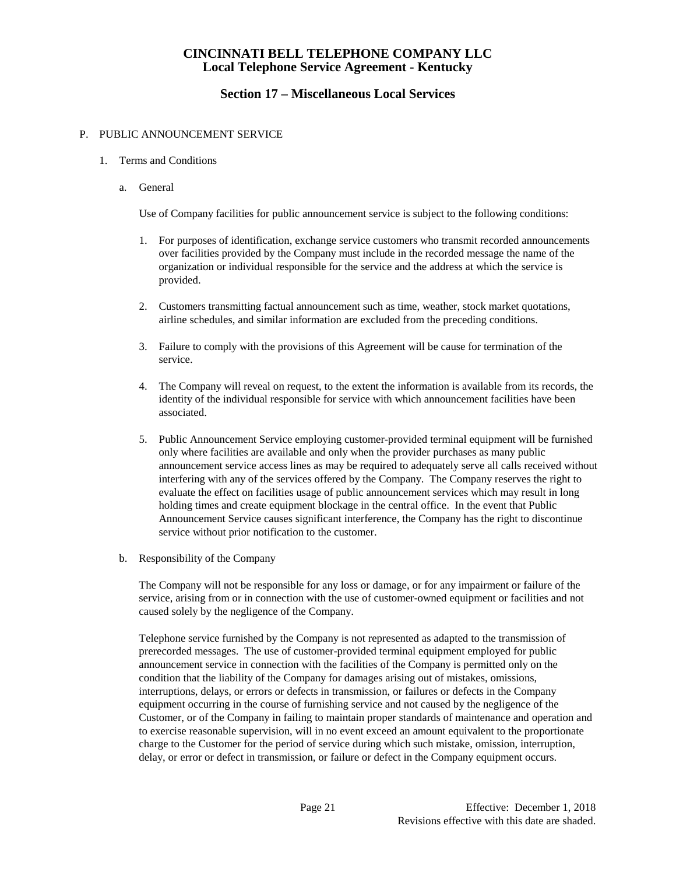# **Section 17 – Miscellaneous Local Services**

#### P. PUBLIC ANNOUNCEMENT SERVICE

#### 1. Terms and Conditions

a. General

Use of Company facilities for public announcement service is subject to the following conditions:

- 1. For purposes of identification, exchange service customers who transmit recorded announcements over facilities provided by the Company must include in the recorded message the name of the organization or individual responsible for the service and the address at which the service is provided.
- 2. Customers transmitting factual announcement such as time, weather, stock market quotations, airline schedules, and similar information are excluded from the preceding conditions.
- 3. Failure to comply with the provisions of this Agreement will be cause for termination of the service.
- 4. The Company will reveal on request, to the extent the information is available from its records, the identity of the individual responsible for service with which announcement facilities have been associated.
- 5. Public Announcement Service employing customer-provided terminal equipment will be furnished only where facilities are available and only when the provider purchases as many public announcement service access lines as may be required to adequately serve all calls received without interfering with any of the services offered by the Company. The Company reserves the right to evaluate the effect on facilities usage of public announcement services which may result in long holding times and create equipment blockage in the central office. In the event that Public Announcement Service causes significant interference, the Company has the right to discontinue service without prior notification to the customer.
- b. Responsibility of the Company

The Company will not be responsible for any loss or damage, or for any impairment or failure of the service, arising from or in connection with the use of customer-owned equipment or facilities and not caused solely by the negligence of the Company.

Telephone service furnished by the Company is not represented as adapted to the transmission of prerecorded messages. The use of customer-provided terminal equipment employed for public announcement service in connection with the facilities of the Company is permitted only on the condition that the liability of the Company for damages arising out of mistakes, omissions, interruptions, delays, or errors or defects in transmission, or failures or defects in the Company equipment occurring in the course of furnishing service and not caused by the negligence of the Customer, or of the Company in failing to maintain proper standards of maintenance and operation and to exercise reasonable supervision, will in no event exceed an amount equivalent to the proportionate charge to the Customer for the period of service during which such mistake, omission, interruption, delay, or error or defect in transmission, or failure or defect in the Company equipment occurs.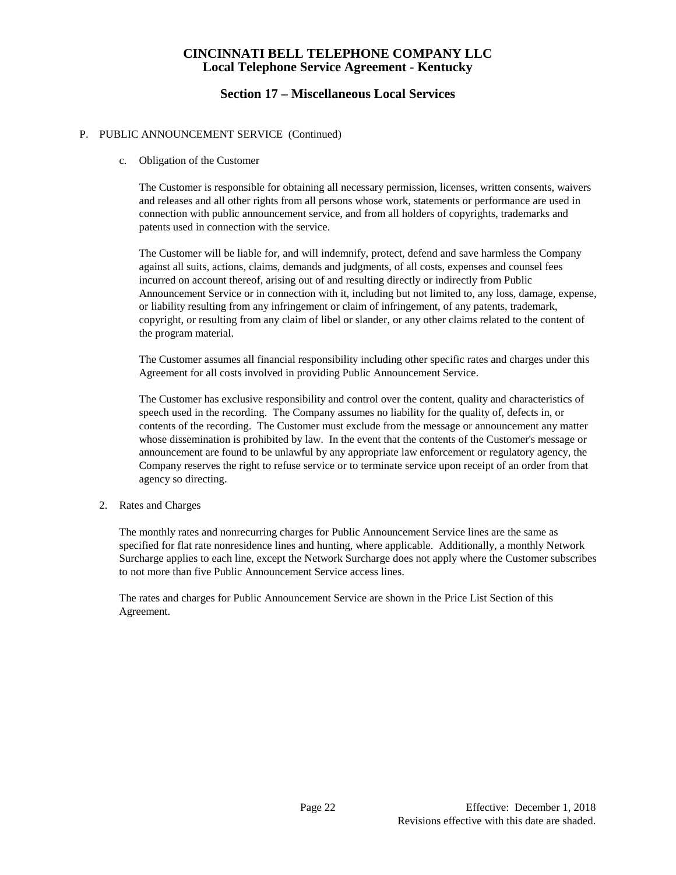# **Section 17 – Miscellaneous Local Services**

#### P. PUBLIC ANNOUNCEMENT SERVICE (Continued)

c. Obligation of the Customer

 The Customer is responsible for obtaining all necessary permission, licenses, written consents, waivers and releases and all other rights from all persons whose work, statements or performance are used in connection with public announcement service, and from all holders of copyrights, trademarks and patents used in connection with the service.

 The Customer will be liable for, and will indemnify, protect, defend and save harmless the Company against all suits, actions, claims, demands and judgments, of all costs, expenses and counsel fees incurred on account thereof, arising out of and resulting directly or indirectly from Public Announcement Service or in connection with it, including but not limited to, any loss, damage, expense, or liability resulting from any infringement or claim of infringement, of any patents, trademark, copyright, or resulting from any claim of libel or slander, or any other claims related to the content of the program material.

 The Customer assumes all financial responsibility including other specific rates and charges under this Agreement for all costs involved in providing Public Announcement Service.

 The Customer has exclusive responsibility and control over the content, quality and characteristics of speech used in the recording. The Company assumes no liability for the quality of, defects in, or contents of the recording. The Customer must exclude from the message or announcement any matter whose dissemination is prohibited by law. In the event that the contents of the Customer's message or announcement are found to be unlawful by any appropriate law enforcement or regulatory agency, the Company reserves the right to refuse service or to terminate service upon receipt of an order from that agency so directing.

2. Rates and Charges

The monthly rates and nonrecurring charges for Public Announcement Service lines are the same as specified for flat rate nonresidence lines and hunting, where applicable. Additionally, a monthly Network Surcharge applies to each line, except the Network Surcharge does not apply where the Customer subscribes to not more than five Public Announcement Service access lines.

The rates and charges for Public Announcement Service are shown in the Price List Section of this Agreement.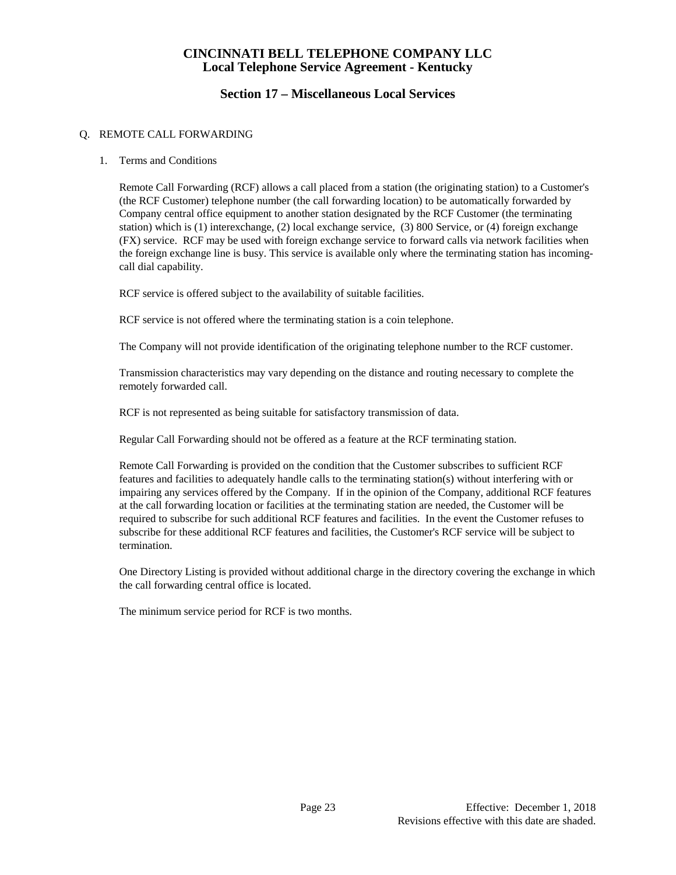# **Section 17 – Miscellaneous Local Services**

#### Q. REMOTE CALL FORWARDING

#### 1. Terms and Conditions

Remote Call Forwarding (RCF) allows a call placed from a station (the originating station) to a Customer's (the RCF Customer) telephone number (the call forwarding location) to be automatically forwarded by Company central office equipment to another station designated by the RCF Customer (the terminating station) which is (1) interexchange, (2) local exchange service, (3) 800 Service, or (4) foreign exchange (FX) service. RCF may be used with foreign exchange service to forward calls via network facilities when the foreign exchange line is busy. This service is available only where the terminating station has incomingcall dial capability.

RCF service is offered subject to the availability of suitable facilities.

RCF service is not offered where the terminating station is a coin telephone.

The Company will not provide identification of the originating telephone number to the RCF customer.

Transmission characteristics may vary depending on the distance and routing necessary to complete the remotely forwarded call.

RCF is not represented as being suitable for satisfactory transmission of data.

Regular Call Forwarding should not be offered as a feature at the RCF terminating station.

Remote Call Forwarding is provided on the condition that the Customer subscribes to sufficient RCF features and facilities to adequately handle calls to the terminating station(s) without interfering with or impairing any services offered by the Company. If in the opinion of the Company, additional RCF features at the call forwarding location or facilities at the terminating station are needed, the Customer will be required to subscribe for such additional RCF features and facilities. In the event the Customer refuses to subscribe for these additional RCF features and facilities, the Customer's RCF service will be subject to termination.

One Directory Listing is provided without additional charge in the directory covering the exchange in which the call forwarding central office is located.

The minimum service period for RCF is two months.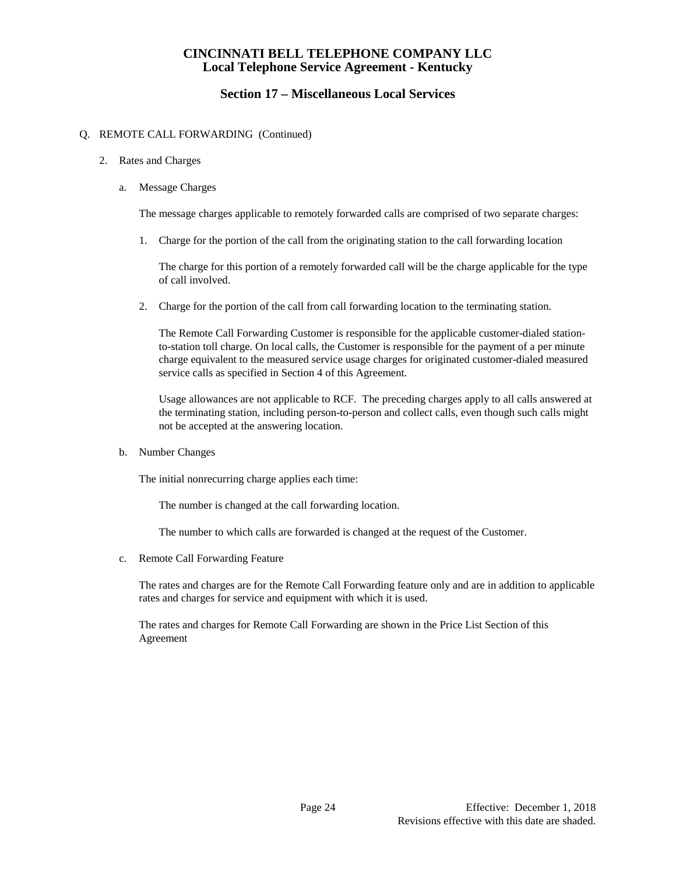# **Section 17 – Miscellaneous Local Services**

#### Q. REMOTE CALL FORWARDING (Continued)

#### 2. Rates and Charges

a. Message Charges

The message charges applicable to remotely forwarded calls are comprised of two separate charges:

1. Charge for the portion of the call from the originating station to the call forwarding location

The charge for this portion of a remotely forwarded call will be the charge applicable for the type of call involved.

2. Charge for the portion of the call from call forwarding location to the terminating station.

The Remote Call Forwarding Customer is responsible for the applicable customer-dialed stationto-station toll charge. On local calls, the Customer is responsible for the payment of a per minute charge equivalent to the measured service usage charges for originated customer-dialed measured service calls as specified in Section 4 of this Agreement.

Usage allowances are not applicable to RCF. The preceding charges apply to all calls answered at the terminating station, including person-to-person and collect calls, even though such calls might not be accepted at the answering location.

b. Number Changes

The initial nonrecurring charge applies each time:

The number is changed at the call forwarding location.

The number to which calls are forwarded is changed at the request of the Customer.

c. Remote Call Forwarding Feature

The rates and charges are for the Remote Call Forwarding feature only and are in addition to applicable rates and charges for service and equipment with which it is used.

The rates and charges for Remote Call Forwarding are shown in the Price List Section of this Agreement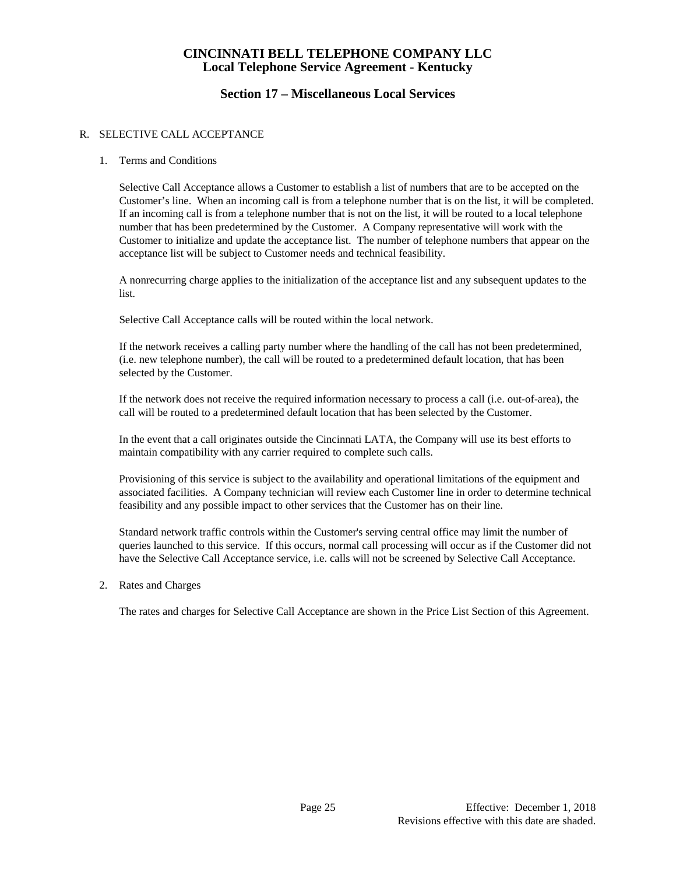# **Section 17 – Miscellaneous Local Services**

#### R. SELECTIVE CALL ACCEPTANCE

#### 1. Terms and Conditions

Selective Call Acceptance allows a Customer to establish a list of numbers that are to be accepted on the Customer's line. When an incoming call is from a telephone number that is on the list, it will be completed. If an incoming call is from a telephone number that is not on the list, it will be routed to a local telephone number that has been predetermined by the Customer. A Company representative will work with the Customer to initialize and update the acceptance list. The number of telephone numbers that appear on the acceptance list will be subject to Customer needs and technical feasibility.

A nonrecurring charge applies to the initialization of the acceptance list and any subsequent updates to the list.

Selective Call Acceptance calls will be routed within the local network.

If the network receives a calling party number where the handling of the call has not been predetermined, (i.e. new telephone number), the call will be routed to a predetermined default location, that has been selected by the Customer.

If the network does not receive the required information necessary to process a call (i.e. out-of-area), the call will be routed to a predetermined default location that has been selected by the Customer.

In the event that a call originates outside the Cincinnati LATA, the Company will use its best efforts to maintain compatibility with any carrier required to complete such calls.

Provisioning of this service is subject to the availability and operational limitations of the equipment and associated facilities. A Company technician will review each Customer line in order to determine technical feasibility and any possible impact to other services that the Customer has on their line.

Standard network traffic controls within the Customer's serving central office may limit the number of queries launched to this service. If this occurs, normal call processing will occur as if the Customer did not have the Selective Call Acceptance service, i.e. calls will not be screened by Selective Call Acceptance.

2. Rates and Charges

The rates and charges for Selective Call Acceptance are shown in the Price List Section of this Agreement.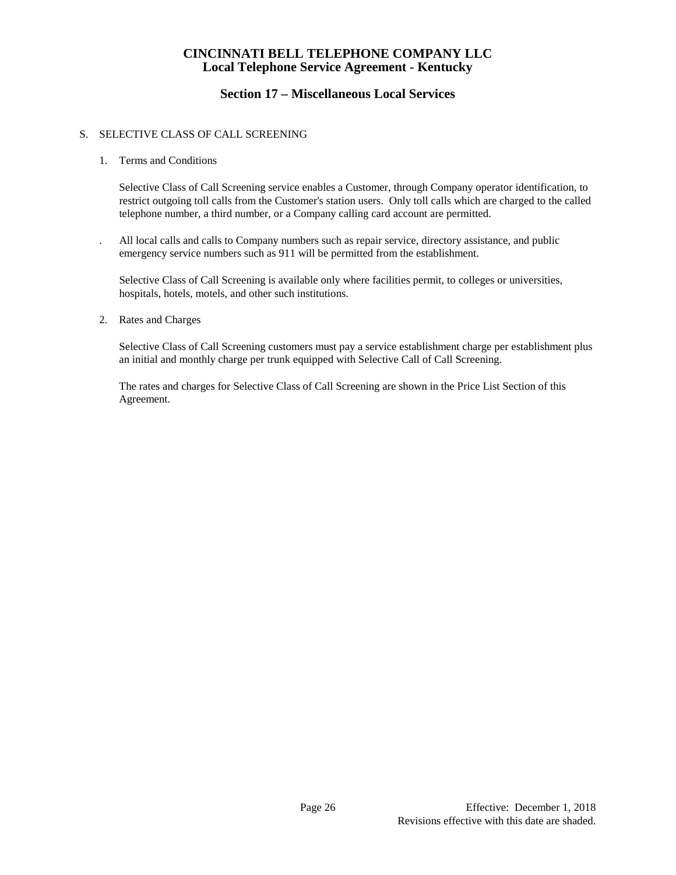# **Section 17 – Miscellaneous Local Services**

#### S. SELECTIVE CLASS OF CALL SCREENING

1. Terms and Conditions

Selective Class of Call Screening service enables a Customer, through Company operator identification, to restrict outgoing toll calls from the Customer's station users. Only toll calls which are charged to the called telephone number, a third number, or a Company calling card account are permitted.

. All local calls and calls to Company numbers such as repair service, directory assistance, and public emergency service numbers such as 911 will be permitted from the establishment.

Selective Class of Call Screening is available only where facilities permit, to colleges or universities, hospitals, hotels, motels, and other such institutions.

2. Rates and Charges

Selective Class of Call Screening customers must pay a service establishment charge per establishment plus an initial and monthly charge per trunk equipped with Selective Call of Call Screening.

The rates and charges for Selective Class of Call Screening are shown in the Price List Section of this Agreement.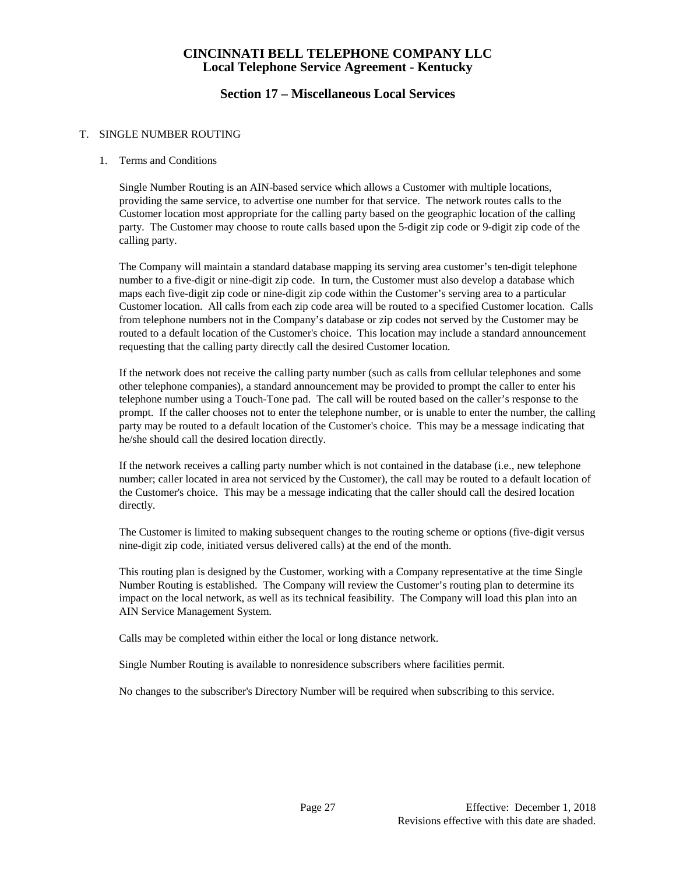## **Section 17 – Miscellaneous Local Services**

#### T. SINGLE NUMBER ROUTING

#### 1. Terms and Conditions

Single Number Routing is an AIN-based service which allows a Customer with multiple locations, providing the same service, to advertise one number for that service. The network routes calls to the Customer location most appropriate for the calling party based on the geographic location of the calling party. The Customer may choose to route calls based upon the 5-digit zip code or 9-digit zip code of the calling party.

The Company will maintain a standard database mapping its serving area customer's ten-digit telephone number to a five-digit or nine-digit zip code. In turn, the Customer must also develop a database which maps each five-digit zip code or nine-digit zip code within the Customer's serving area to a particular Customer location. All calls from each zip code area will be routed to a specified Customer location. Calls from telephone numbers not in the Company's database or zip codes not served by the Customer may be routed to a default location of the Customer's choice. This location may include a standard announcement requesting that the calling party directly call the desired Customer location.

If the network does not receive the calling party number (such as calls from cellular telephones and some other telephone companies), a standard announcement may be provided to prompt the caller to enter his telephone number using a Touch-Tone pad. The call will be routed based on the caller's response to the prompt. If the caller chooses not to enter the telephone number, or is unable to enter the number, the calling party may be routed to a default location of the Customer's choice. This may be a message indicating that he/she should call the desired location directly.

If the network receives a calling party number which is not contained in the database (i.e., new telephone number; caller located in area not serviced by the Customer), the call may be routed to a default location of the Customer's choice. This may be a message indicating that the caller should call the desired location directly.

The Customer is limited to making subsequent changes to the routing scheme or options (five-digit versus nine-digit zip code, initiated versus delivered calls) at the end of the month.

This routing plan is designed by the Customer, working with a Company representative at the time Single Number Routing is established. The Company will review the Customer's routing plan to determine its impact on the local network, as well as its technical feasibility. The Company will load this plan into an AIN Service Management System.

Calls may be completed within either the local or long distance network.

Single Number Routing is available to nonresidence subscribers where facilities permit.

No changes to the subscriber's Directory Number will be required when subscribing to this service.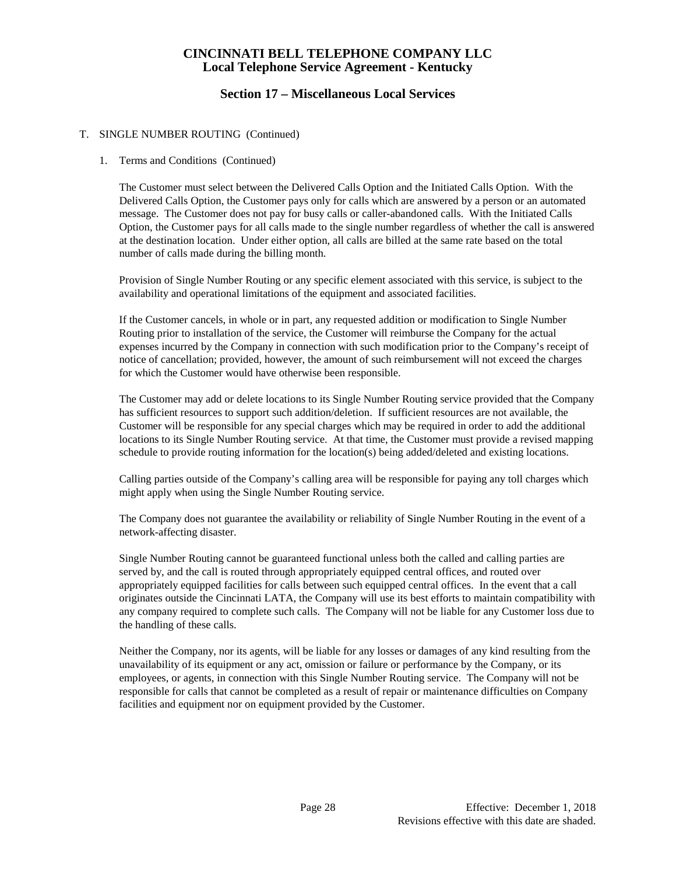# **Section 17 – Miscellaneous Local Services**

#### T. SINGLE NUMBER ROUTING (Continued)

#### 1. Terms and Conditions (Continued)

The Customer must select between the Delivered Calls Option and the Initiated Calls Option. With the Delivered Calls Option, the Customer pays only for calls which are answered by a person or an automated message. The Customer does not pay for busy calls or caller-abandoned calls. With the Initiated Calls Option, the Customer pays for all calls made to the single number regardless of whether the call is answered at the destination location. Under either option, all calls are billed at the same rate based on the total number of calls made during the billing month.

Provision of Single Number Routing or any specific element associated with this service, is subject to the availability and operational limitations of the equipment and associated facilities.

If the Customer cancels, in whole or in part, any requested addition or modification to Single Number Routing prior to installation of the service, the Customer will reimburse the Company for the actual expenses incurred by the Company in connection with such modification prior to the Company's receipt of notice of cancellation; provided, however, the amount of such reimbursement will not exceed the charges for which the Customer would have otherwise been responsible.

The Customer may add or delete locations to its Single Number Routing service provided that the Company has sufficient resources to support such addition/deletion. If sufficient resources are not available, the Customer will be responsible for any special charges which may be required in order to add the additional locations to its Single Number Routing service. At that time, the Customer must provide a revised mapping schedule to provide routing information for the location(s) being added/deleted and existing locations.

Calling parties outside of the Company's calling area will be responsible for paying any toll charges which might apply when using the Single Number Routing service.

The Company does not guarantee the availability or reliability of Single Number Routing in the event of a network-affecting disaster.

Single Number Routing cannot be guaranteed functional unless both the called and calling parties are served by, and the call is routed through appropriately equipped central offices, and routed over appropriately equipped facilities for calls between such equipped central offices. In the event that a call originates outside the Cincinnati LATA, the Company will use its best efforts to maintain compatibility with any company required to complete such calls. The Company will not be liable for any Customer loss due to the handling of these calls.

Neither the Company, nor its agents, will be liable for any losses or damages of any kind resulting from the unavailability of its equipment or any act, omission or failure or performance by the Company, or its employees, or agents, in connection with this Single Number Routing service. The Company will not be responsible for calls that cannot be completed as a result of repair or maintenance difficulties on Company facilities and equipment nor on equipment provided by the Customer.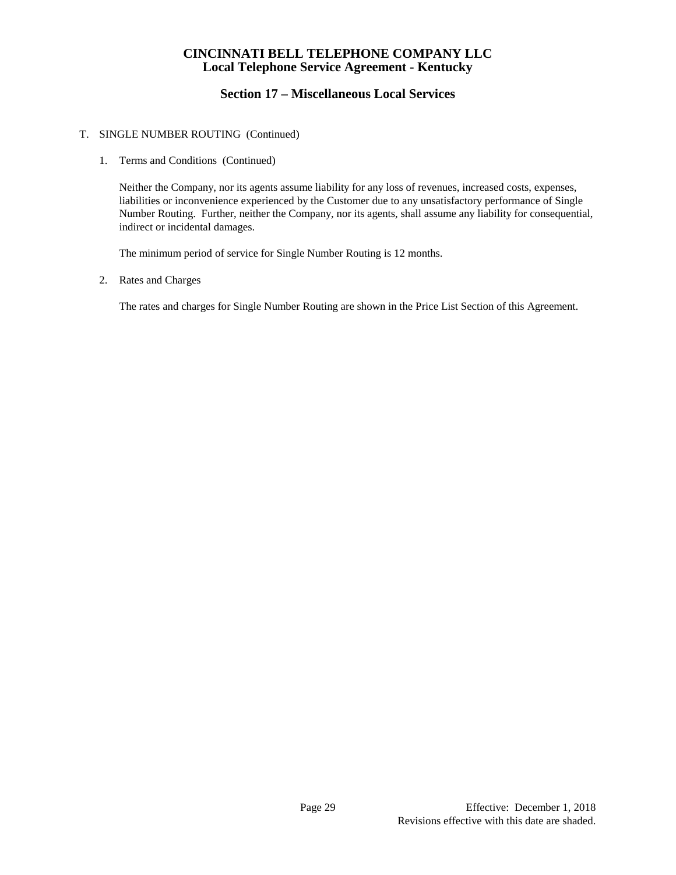# **Section 17 – Miscellaneous Local Services**

#### T. SINGLE NUMBER ROUTING (Continued)

1. Terms and Conditions (Continued)

Neither the Company, nor its agents assume liability for any loss of revenues, increased costs, expenses, liabilities or inconvenience experienced by the Customer due to any unsatisfactory performance of Single Number Routing. Further, neither the Company, nor its agents, shall assume any liability for consequential, indirect or incidental damages.

The minimum period of service for Single Number Routing is 12 months.

2. Rates and Charges

The rates and charges for Single Number Routing are shown in the Price List Section of this Agreement.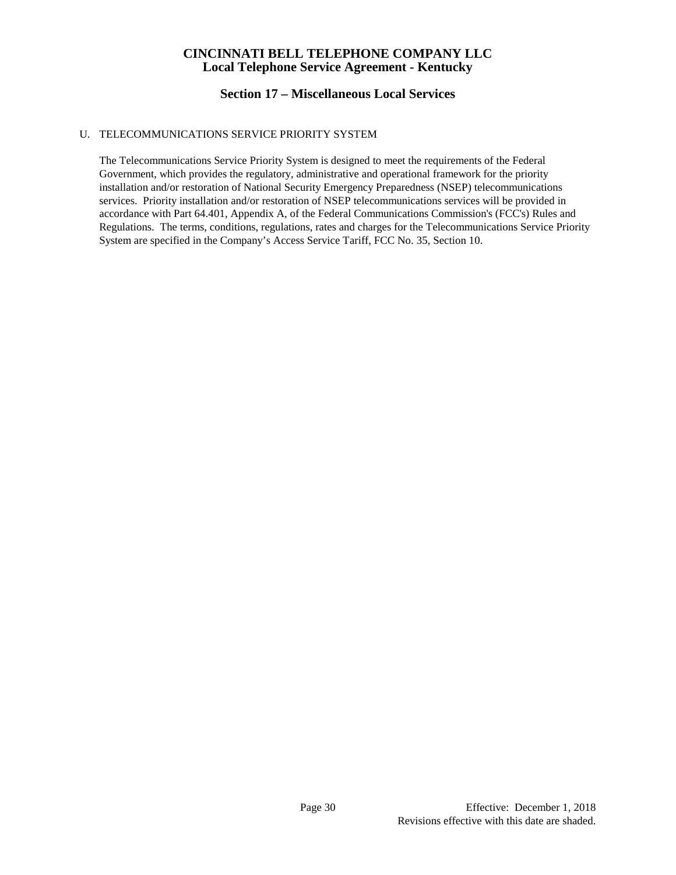# **Section 17 – Miscellaneous Local Services**

#### U. TELECOMMUNICATIONS SERVICE PRIORITY SYSTEM

The Telecommunications Service Priority System is designed to meet the requirements of the Federal Government, which provides the regulatory, administrative and operational framework for the priority installation and/or restoration of National Security Emergency Preparedness (NSEP) telecommunications services. Priority installation and/or restoration of NSEP telecommunications services will be provided in accordance with Part 64.401, Appendix A, of the Federal Communications Commission's (FCC's) Rules and Regulations. The terms, conditions, regulations, rates and charges for the Telecommunications Service Priority System are specified in the Company's Access Service Tariff, FCC No. 35, Section 10.